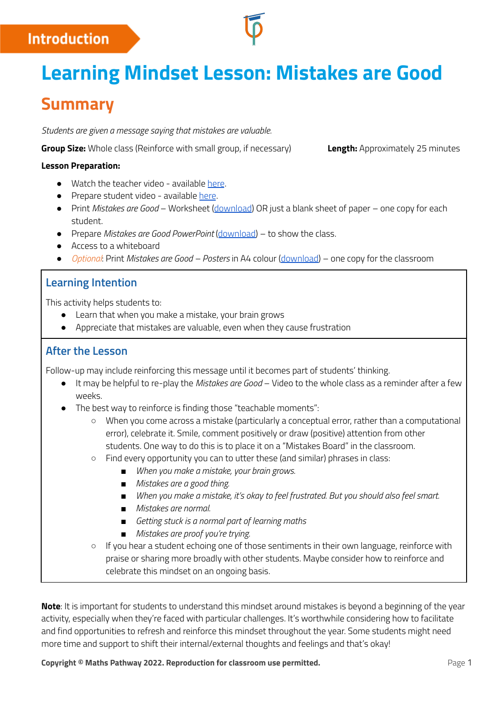## **Introduction**

# **Learning Mindset Lesson: Mistakes are Good**

# **Summary**

*Students are given a message saying that mistakes are valuable.*

**Group Size:** Whole class (Reinforce with small group, if necessary) **Length:** Approximately 25 minutes

#### **Lesson Preparation:**

- Watch the teacher video available [here](https://www.youtube.com/watch?v=Kc9eKM7J6aQ).
- Prepare student video available [here](https://www.youtube.com/watch?v=BjZ5O4sA-fg).
- Print *Mistakes are Good* Worksheet ([download](http://mpcontent.blob.core.windows.net/public/Mistakes%20are%20Good%20Worksheet.pdf)) OR just a blank sheet of paper one copy for each student.
- Prepare *Mistakes are Good PowerPoint* ([download\)](https://mpcontent.blob.core.windows.net/public/Mistakes%20are%20Good%20PowerPoint.pptx) to show the class.
- Access to a whiteboard
- *Optional*: Print *Mistakes are Good – Posters* in A4 colour ([download](http://mpcontent.blob.core.windows.net/public/Mistakes%20are%20Good%20Posters.pdf)) one copy for the classroom

## **Learning Intention**

This activity helps students to:

- Learn that when you make a mistake, your brain grows
- Appreciate that mistakes are valuable, even when they cause frustration

## **After the Lesson**

Follow-up may include reinforcing this message until it becomes part of students' thinking.

- It may be helpful to re-play the *Mistakes are Good* Video to the whole class as a reminder after a few weeks.
- The best way to reinforce is finding those "teachable moments":
	- When you come across a mistake (particularly a conceptual error, rather than a computational error), celebrate it. Smile, comment positively or draw (positive) attention from other students. One way to do this is to place it on a "Mistakes Board" in the classroom.
	- Find every opportunity you can to utter these (and similar) phrases in class:
		- *■ When you make a mistake, your brain grows.*
		- *■ Mistakes are a good thing.*
		- *■ When you make a mistake, it's okay to feel frustrated. But you should also feel smart.*
		- *■ Mistakes are normal.*
		- *■ Getting stuck is a normal part of learning maths*
		- *■ Mistakes are proof you're trying.*
	- $\circ$  If you hear a student echoing one of those sentiments in their own language, reinforce with praise or sharing more broadly with other students. Maybe consider how to reinforce and celebrate this mindset on an ongoing basis.

**Note**: It is important for students to understand this mindset around mistakes is beyond a beginning of the year activity, especially when they're faced with particular challenges. It's worthwhile considering how to facilitate and find opportunities to refresh and reinforce this mindset throughout the year. Some students might need more time and support to shift their internal/external thoughts and feelings and that's okay!

**Copyright © Maths Pathway 2022. Reproduction for classroom use permitted.** Page 1